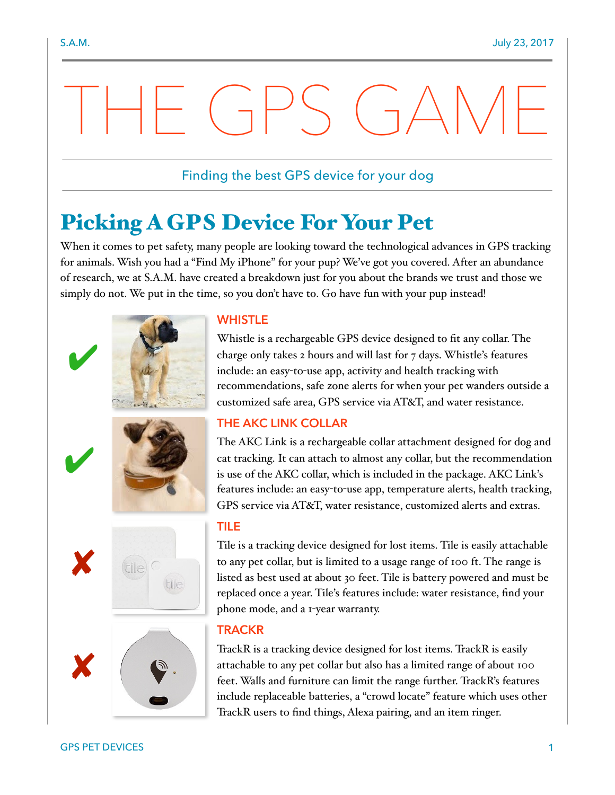# THE GPS GAME

### Finding the best GPS device for your dog

## Picking A GPS Device For Your Pet

When it comes to pet safety, many people are looking toward the technological advances in GPS tracking for animals. Wish you had a "Find My iPhone" for your pup? We've got you covered. After an abundance of research, we at S.A.M. have created a breakdown just for you about the brands we trust and those we simply do not. We put in the time, so you don't have to. Go have fun with your pup instead!



#### **WHISTLE**

Whistle is a rechargeable GPS device designed to fit any collar. The charge only takes 2 hours and will last for 7 days. Whistle's features include: an easy-to-use app, activity and health tracking with recommendations, safe zone alerts for when your pet wanders outside a customized safe area, GPS service via AT&T, and water resistance.

#### **THE AKC LINK COLLAR**

The AKC Link is a rechargeable collar attachment designed for dog and cat tracking. It can attach to almost any collar, but the recommendation is use of the AKC collar, which is included in the package. AKC Link's features include: an easy-to-use app, temperature alerts, health tracking, GPS service via AT&T, water resistance, customized alerts and extras.

#### **TILE**

Tile is a tracking device designed for lost items. Tile is easily attachable to any pet collar, but is limited to a usage range of 100 ft. The range is listed as best used at about 30 feet. Tile is battery powered and must be replaced once a year. Tile's features include: water resistance, find your phone mode, and a 1-year warranty.

#### **TRACKR**

TrackR is a tracking device designed for lost items. TrackR is easily attachable to any pet collar but also has a limited range of about 100 feet. Walls and furniture can limit the range further. TrackR's features include replaceable batteries, a "crowd locate" feature which uses other TrackR users to find things, Alexa pairing, and an item ringer.